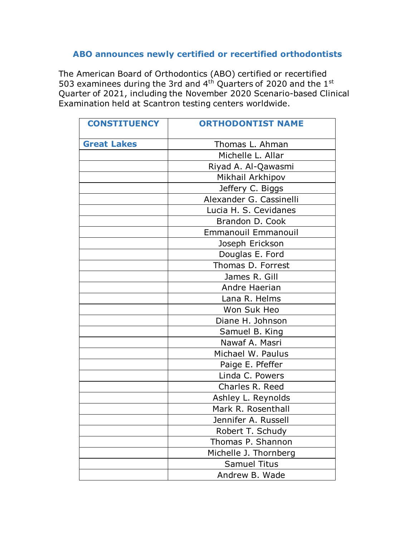## **ABO announces newly certified or recertified orthodontists**

The American Board of Orthodontics (ABO) certified or recertified 503 examinees during the 3rd and 4<sup>th</sup> Quarters of 2020 and the 1st Quarter of 2021, including the November 2020 Scenario-based Clinical Examination held at Scantron testing centers worldwide.

| <b>CONSTITUENCY</b> | <b>ORTHODONTIST NAME</b>   |
|---------------------|----------------------------|
| <b>Great Lakes</b>  | Thomas L. Ahman            |
|                     | Michelle L. Allar          |
|                     | Riyad A. Al-Qawasmi        |
|                     | Mikhail Arkhipov           |
|                     | Jeffery C. Biggs           |
|                     | Alexander G. Cassinelli    |
|                     | Lucia H. S. Cevidanes      |
|                     | Brandon D. Cook            |
|                     | <b>Emmanouil Emmanouil</b> |
|                     | Joseph Erickson            |
|                     | Douglas E. Ford            |
|                     | Thomas D. Forrest          |
|                     | James R. Gill              |
|                     | Andre Haerian              |
|                     | Lana R. Helms              |
|                     | Won Suk Heo                |
|                     | Diane H. Johnson           |
|                     | Samuel B. King             |
|                     | Nawaf A. Masri             |
|                     | Michael W. Paulus          |
|                     | Paige E. Pfeffer           |
|                     | Linda C. Powers            |
|                     | Charles R. Reed            |
|                     | Ashley L. Reynolds         |
|                     | Mark R. Rosenthall         |
|                     | Jennifer A. Russell        |
|                     | Robert T. Schudy           |
|                     | Thomas P. Shannon          |
|                     | Michelle J. Thornberg      |
|                     | <b>Samuel Titus</b>        |
|                     | Andrew B. Wade             |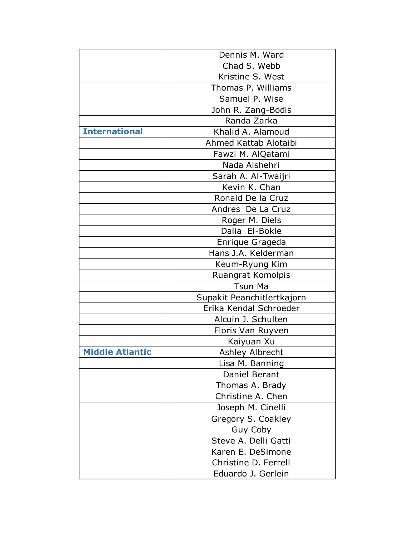|                        | Dennis M. Ward             |
|------------------------|----------------------------|
|                        | Chad S. Webb               |
|                        | Kristine S. West           |
|                        | Thomas P. Williams         |
|                        | Samuel P. Wise             |
|                        | John R. Zang-Bodis         |
|                        | Randa Zarka                |
| <b>International</b>   | Khalid A. Alamoud          |
|                        | Ahmed Kattab Alotaibi      |
|                        | Fawzi M. AlQatami          |
|                        | Nada Alshehri              |
|                        | Sarah A. Al-Twaijri        |
|                        | Kevin K. Chan              |
|                        | Ronald De la Cruz          |
|                        | Andres De La Cruz          |
|                        | Roger M. Diels             |
|                        | Dalia El-Bokle             |
|                        | Enrique Grageda            |
|                        | Hans J.A. Kelderman        |
|                        | Keum-Ryung Kim             |
|                        | Ruangrat Komolpis          |
|                        | <b>Tsun Ma</b>             |
|                        | Supakit Peanchitlertkajorn |
|                        | Erika Kendal Schroeder     |
|                        | Alcuin J. Schulten         |
|                        | Floris Van Ruyven          |
|                        | Kaiyuan Xu                 |
| <b>Middle Atlantic</b> | Ashley Albrecht            |
|                        | Lisa M. Banning            |
|                        | Daniel Berant              |
|                        | Thomas A. Brady            |
|                        | Christine A. Chen          |
|                        | Joseph M. Cinelli          |
|                        | Gregory S. Coakley         |
|                        | Guy Coby                   |
|                        | Steve A. Delli Gatti       |
|                        | Karen E. DeSimone          |
|                        | Christine D. Ferrell       |
|                        | Eduardo J. Gerlein         |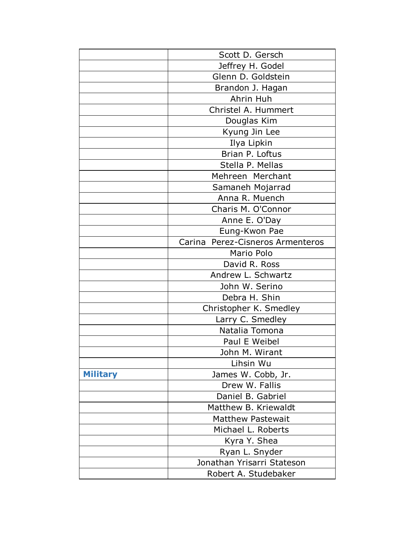|                 | Scott D. Gersch                  |
|-----------------|----------------------------------|
|                 | Jeffrey H. Godel                 |
|                 | Glenn D. Goldstein               |
|                 | Brandon J. Hagan                 |
|                 | Ahrin Huh                        |
|                 | Christel A. Hummert              |
|                 | Douglas Kim                      |
|                 | Kyung Jin Lee                    |
|                 | Ilya Lipkin                      |
|                 | Brian P. Loftus                  |
|                 | Stella P. Mellas                 |
|                 | Mehreen Merchant                 |
|                 | Samaneh Mojarrad                 |
|                 | Anna R. Muench                   |
|                 | Charis M. O'Connor               |
|                 | Anne E. O'Day                    |
|                 | Eung-Kwon Pae                    |
|                 | Carina Perez-Cisneros Armenteros |
|                 | Mario Polo                       |
|                 | David R. Ross                    |
|                 | Andrew L. Schwartz               |
|                 | John W. Serino                   |
|                 | Debra H. Shin                    |
|                 | Christopher K. Smedley           |
|                 | Larry C. Smedley                 |
|                 | Natalia Tomona                   |
|                 | Paul E Weibel                    |
|                 | John M. Wirant                   |
|                 | Lihsin Wu                        |
| <b>Military</b> | James W. Cobb, Jr.               |
|                 | Drew W. Fallis                   |
|                 | Daniel B. Gabriel                |
|                 | Matthew B. Kriewaldt             |
|                 | <b>Matthew Pastewait</b>         |
|                 | Michael L. Roberts               |
|                 | Kyra Y. Shea                     |
|                 | Ryan L. Snyder                   |
|                 | Jonathan Yrisarri Stateson       |
|                 | Robert A. Studebaker             |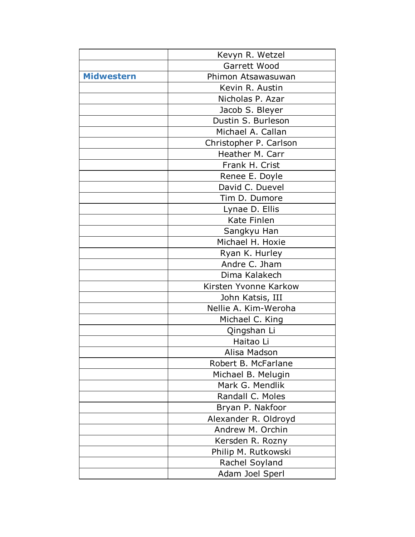|                   | Kevyn R. Wetzel        |
|-------------------|------------------------|
|                   | Garrett Wood           |
| <b>Midwestern</b> | Phimon Atsawasuwan     |
|                   | Kevin R. Austin        |
|                   | Nicholas P. Azar       |
|                   | Jacob S. Bleyer        |
|                   | Dustin S. Burleson     |
|                   | Michael A. Callan      |
|                   | Christopher P. Carlson |
|                   | Heather M. Carr        |
|                   | Frank H. Crist         |
|                   | Renee E. Doyle         |
|                   | David C. Duevel        |
|                   | Tim D. Dumore          |
|                   | Lynae D. Ellis         |
|                   | Kate Finlen            |
|                   | Sangkyu Han            |
|                   | Michael H. Hoxie       |
|                   | Ryan K. Hurley         |
|                   | Andre C. Jham          |
|                   | Dima Kalakech          |
|                   | Kirsten Yvonne Karkow  |
|                   | John Katsis, III       |
|                   | Nellie A. Kim-Weroha   |
|                   | Michael C. King        |
|                   | Qingshan Li            |
|                   | Haitao Li              |
|                   | Alisa Madson           |
|                   | Robert B. McFarlane    |
|                   | Michael B. Melugin     |
|                   | Mark G. Mendlik        |
|                   | Randall C. Moles       |
|                   | Bryan P. Nakfoor       |
|                   | Alexander R. Oldroyd   |
|                   | Andrew M. Orchin       |
|                   | Kersden R. Rozny       |
|                   | Philip M. Rutkowski    |
|                   | Rachel Soyland         |
|                   | Adam Joel Sperl        |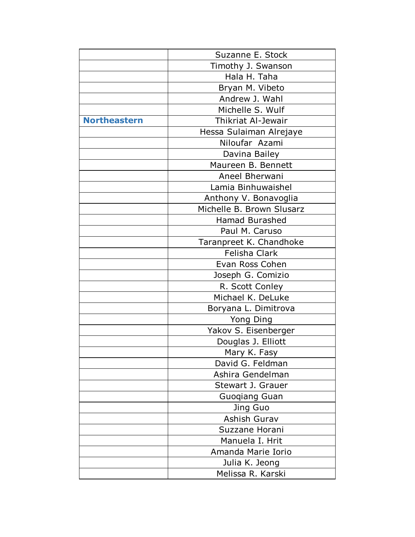|                     | Suzanne E. Stock          |
|---------------------|---------------------------|
|                     | Timothy J. Swanson        |
|                     | Hala H. Taha              |
|                     | Bryan M. Vibeto           |
|                     | Andrew J. Wahl            |
|                     | Michelle S. Wulf          |
| <b>Northeastern</b> | <b>Thikriat Al-Jewair</b> |
|                     | Hessa Sulaiman Alrejaye   |
|                     | Niloufar Azami            |
|                     | Davina Bailey             |
|                     | Maureen B. Bennett        |
|                     | Aneel Bherwani            |
|                     | Lamia Binhuwaishel        |
|                     | Anthony V. Bonavoglia     |
|                     | Michelle B. Brown Slusarz |
|                     | <b>Hamad Burashed</b>     |
|                     | Paul M. Caruso            |
|                     | Taranpreet K. Chandhoke   |
|                     | Felisha Clark             |
|                     | Evan Ross Cohen           |
|                     | Joseph G. Comizio         |
|                     | R. Scott Conley           |
|                     | Michael K. DeLuke         |
|                     | Boryana L. Dimitrova      |
|                     | Yong Ding                 |
|                     | Yakov S. Eisenberger      |
|                     | Douglas J. Elliott        |
|                     | Mary K. Fasy              |
|                     | David G. Feldman          |
|                     | Ashira Gendelman          |
|                     | Stewart J. Grauer         |
|                     | <b>Guogiang Guan</b>      |
|                     | Jing Guo                  |
|                     | Ashish Gurav              |
|                     | Suzzane Horani            |
|                     | Manuela I. Hrit           |
|                     | Amanda Marie Iorio        |
|                     | Julia K. Jeong            |
|                     | Melissa R. Karski         |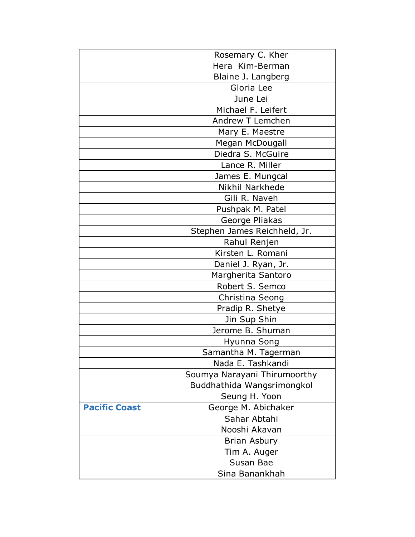|                      | Rosemary C. Kher             |
|----------------------|------------------------------|
|                      | Hera Kim-Berman              |
|                      | Blaine J. Langberg           |
|                      | Gloria Lee                   |
|                      | June Lei                     |
|                      | Michael F. Leifert           |
|                      | Andrew T Lemchen             |
|                      | Mary E. Maestre              |
|                      | Megan McDougall              |
|                      | Diedra S. McGuire            |
|                      | Lance R. Miller              |
|                      | James E. Mungcal             |
|                      | Nikhil Narkhede              |
|                      | Gili R. Naveh                |
|                      | Pushpak M. Patel             |
|                      | George Pliakas               |
|                      | Stephen James Reichheld, Jr. |
|                      | Rahul Renjen                 |
|                      | Kirsten L. Romani            |
|                      | Daniel J. Ryan, Jr.          |
|                      | Margherita Santoro           |
|                      | Robert S. Semco              |
|                      | Christina Seong              |
|                      | Pradip R. Shetye             |
|                      | Jin Sup Shin                 |
|                      | Jerome B. Shuman             |
|                      | Hyunna Song                  |
|                      | Samantha M. Tagerman         |
|                      | Nada E. Tashkandi            |
|                      | Soumya Narayani Thirumoorthy |
|                      | Buddhathida Wangsrimongkol   |
|                      | Seung H. Yoon                |
| <b>Pacific Coast</b> | George M. Abichaker          |
|                      | Sahar Abtahi                 |
|                      | Nooshi Akavan                |
|                      | <b>Brian Asbury</b>          |
|                      | Tim A. Auger                 |
|                      | Susan Bae                    |
|                      | Sina Banankhah               |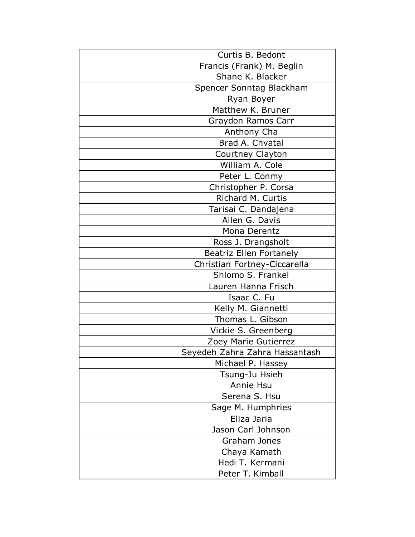| Curtis B. Bedont               |
|--------------------------------|
| Francis (Frank) M. Beglin      |
| Shane K. Blacker               |
| Spencer Sonntag Blackham       |
| Ryan Boyer                     |
| Matthew K. Bruner              |
| Graydon Ramos Carr             |
| Anthony Cha                    |
| Brad A. Chvatal                |
| Courtney Clayton               |
| William A. Cole                |
| Peter L. Conmy                 |
| Christopher P. Corsa           |
| Richard M. Curtis              |
| Tarisai C. Dandajena           |
| Allen G. Davis                 |
| Mona Derentz                   |
| Ross J. Drangsholt             |
| <b>Beatriz Ellen Fortanely</b> |
| Christian Fortney-Ciccarella   |
| Shlomo S. Frankel              |
| Lauren Hanna Frisch            |
| Isaac C. Fu                    |
| Kelly M. Giannetti             |
| Thomas L. Gibson               |
| Vickie S. Greenberg            |
| Zoey Marie Gutierrez           |
| Seyedeh Zahra Zahra Hassantash |
| Michael P. Hassey              |
| Tsung-Ju Hsieh                 |
| Annie Hsu                      |
| Serena S. Hsu                  |
| Sage M. Humphries              |
| Eliza Jaria                    |
| Jason Carl Johnson             |
| Graham Jones                   |
| Chaya Kamath                   |
| Hedi T. Kermani                |
| Peter T. Kimball               |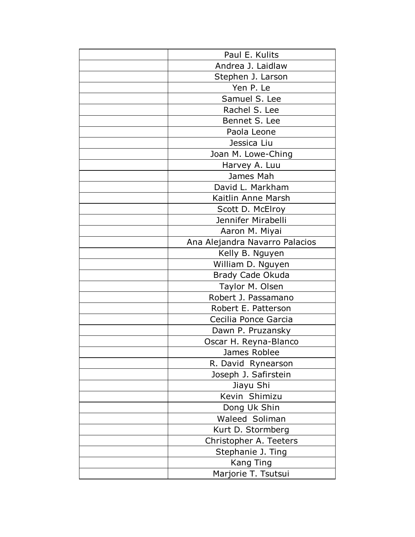| Paul E. Kulits                 |
|--------------------------------|
| Andrea J. Laidlaw              |
| Stephen J. Larson              |
| Yen P. Le                      |
| Samuel S. Lee                  |
| Rachel S. Lee                  |
| Bennet S. Lee                  |
| Paola Leone                    |
| Jessica Liu                    |
| Joan M. Lowe-Ching             |
| Harvey A. Luu                  |
| James Mah                      |
| David L. Markham               |
| Kaitlin Anne Marsh             |
| Scott D. McElroy               |
| Jennifer Mirabelli             |
| Aaron M. Miyai                 |
| Ana Alejandra Navarro Palacios |
| Kelly B. Nguyen                |
| William D. Nguyen              |
| Brady Cade Okuda               |
| Taylor M. Olsen                |
| Robert J. Passamano            |
| Robert E. Patterson            |
| Cecilia Ponce Garcia           |
| Dawn P. Pruzansky              |
| Oscar H. Reyna-Blanco          |
| James Roblee                   |
| R. David Rynearson             |
| Joseph J. Safirstein           |
| Jiayu Shi                      |
| Kevin Shimizu                  |
| Dong Uk Shin                   |
| Waleed Soliman                 |
| Kurt D. Stormberg              |
| Christopher A. Teeters         |
| Stephanie J. Ting              |
| <b>Kang Ting</b>               |
| Marjorie T. Tsutsui            |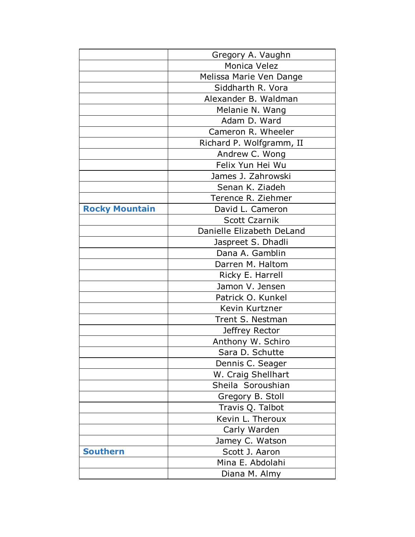|                       | Gregory A. Vaughn         |
|-----------------------|---------------------------|
|                       | Monica Velez              |
|                       | Melissa Marie Ven Dange   |
|                       | Siddharth R. Vora         |
|                       | Alexander B. Waldman      |
|                       | Melanie N. Wang           |
|                       | Adam D. Ward              |
|                       | Cameron R. Wheeler        |
|                       | Richard P. Wolfgramm, II  |
|                       | Andrew C. Wong            |
|                       | Felix Yun Hei Wu          |
|                       | James J. Zahrowski        |
|                       | Senan K. Ziadeh           |
|                       | Terence R. Ziehmer        |
| <b>Rocky Mountain</b> | David L. Cameron          |
|                       | <b>Scott Czarnik</b>      |
|                       | Danielle Elizabeth DeLand |
|                       | Jaspreet S. Dhadli        |
|                       | Dana A. Gamblin           |
|                       | Darren M. Haltom          |
|                       | Ricky E. Harrell          |
|                       | Jamon V. Jensen           |
|                       | Patrick O. Kunkel         |
|                       | Kevin Kurtzner            |
|                       | Trent S. Nestman          |
|                       | Jeffrey Rector            |
|                       | Anthony W. Schiro         |
|                       | Sara D. Schutte           |
|                       | Dennis C. Seager          |
|                       | W. Craig Shellhart        |
|                       | Sheila Soroushian         |
|                       | Gregory B. Stoll          |
|                       | Travis Q. Talbot          |
|                       | Kevin L. Theroux          |
|                       | Carly Warden              |
|                       | Jamey C. Watson           |
| <b>Southern</b>       | Scott J. Aaron            |
|                       | Mina E. Abdolahi          |
|                       | Diana M. Almy             |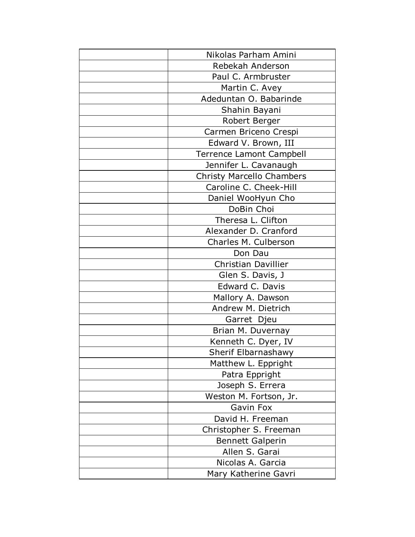| Nikolas Parham Amini             |
|----------------------------------|
| Rebekah Anderson                 |
| Paul C. Armbruster               |
| Martin C. Avey                   |
| Adeduntan O. Babarinde           |
| Shahin Bayani                    |
| Robert Berger                    |
| Carmen Briceno Crespi            |
| Edward V. Brown, III             |
| <b>Terrence Lamont Campbell</b>  |
| Jennifer L. Cavanaugh            |
| <b>Christy Marcello Chambers</b> |
| Caroline C. Cheek-Hill           |
| Daniel WooHyun Cho               |
| DoBin Choi                       |
| Theresa L. Clifton               |
| Alexander D. Cranford            |
| Charles M. Culberson             |
| Don Dau                          |
| <b>Christian Davillier</b>       |
| Glen S. Davis, J                 |
| Edward C. Davis                  |
| Mallory A. Dawson                |
| Andrew M. Dietrich               |
| Garret Djeu                      |
| Brian M. Duvernay                |
| Kenneth C. Dyer, IV              |
| Sherif Elbarnashawy              |
| Matthew L. Eppright              |
| Patra Eppright                   |
| Joseph S. Errera                 |
| Weston M. Fortson, Jr.           |
| Gavin Fox                        |
| David H. Freeman                 |
| Christopher S. Freeman           |
| <b>Bennett Galperin</b>          |
| Allen S. Garai                   |
| Nicolas A. Garcia                |
| Mary Katherine Gavri             |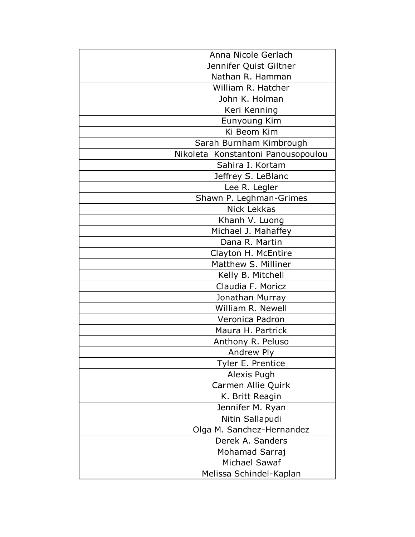| Anna Nicole Gerlach                |
|------------------------------------|
| Jennifer Quist Giltner             |
| Nathan R. Hamman                   |
| William R. Hatcher                 |
| John K. Holman                     |
| Keri Kenning                       |
| Eunyoung Kim                       |
| Ki Beom Kim                        |
| Sarah Burnham Kimbrough            |
| Nikoleta Konstantoni Panousopoulou |
| Sahira I. Kortam                   |
| Jeffrey S. LeBlanc                 |
| Lee R. Legler                      |
| Shawn P. Leghman-Grimes            |
| Nick Lekkas                        |
| Khanh V. Luong                     |
| Michael J. Mahaffey                |
| Dana R. Martin                     |
| Clayton H. McEntire                |
| Matthew S. Milliner                |
| Kelly B. Mitchell                  |
| Claudia F. Moricz                  |
| Jonathan Murray                    |
| William R. Newell                  |
| Veronica Padron                    |
| Maura H. Partrick                  |
| Anthony R. Peluso                  |
| Andrew Ply                         |
| Tyler E. Prentice                  |
| Alexis Pugh                        |
| Carmen Allie Quirk                 |
| K. Britt Reagin                    |
| Jennifer M. Ryan                   |
| Nitin Sallapudi                    |
| Olga M. Sanchez-Hernandez          |
| Derek A. Sanders                   |
| Mohamad Sarraj                     |
| Michael Sawaf                      |
| Melissa Schindel-Kaplan            |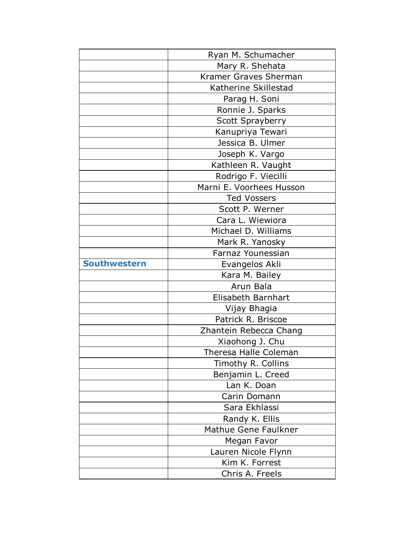|                     | Ryan M. Schumacher       |
|---------------------|--------------------------|
|                     | Mary R. Shehata          |
|                     | Kramer Graves Sherman    |
|                     | Katherine Skillestad     |
|                     | Parag H. Soni            |
|                     | Ronnie J. Sparks         |
|                     | <b>Scott Sprayberry</b>  |
|                     | Kanupriya Tewari         |
|                     | Jessica B. Ulmer         |
|                     | Joseph K. Vargo          |
|                     | Kathleen R. Vaught       |
|                     | Rodrigo F. Viecilli      |
|                     | Marni E. Voorhees Husson |
|                     | <b>Ted Vossers</b>       |
|                     | Scott P. Werner          |
|                     | Cara L. Wiewiora         |
|                     | Michael D. Williams      |
|                     | Mark R. Yanosky          |
|                     | Farnaz Younessian        |
| <b>Southwestern</b> | Evangelos Akli           |
|                     | Kara M. Bailey           |
|                     | Arun Bala                |
|                     | Elisabeth Barnhart       |
|                     | Vijay Bhagia             |
|                     | Patrick R. Briscoe       |
|                     | Zhantein Rebecca Chang   |
|                     | Xiaohong J. Chu          |
|                     | Theresa Halle Coleman    |
|                     | Timothy R. Collins       |
|                     | Benjamin L. Creed        |
|                     | Lan K. Doan              |
|                     | Carin Domann             |
|                     | Sara Ekhlassi            |
|                     | Randy K. Ellis           |
|                     | Mathue Gene Faulkner     |
|                     | Megan Favor              |
|                     | Lauren Nicole Flynn      |
|                     | Kim K. Forrest           |
|                     | Chris A. Freels          |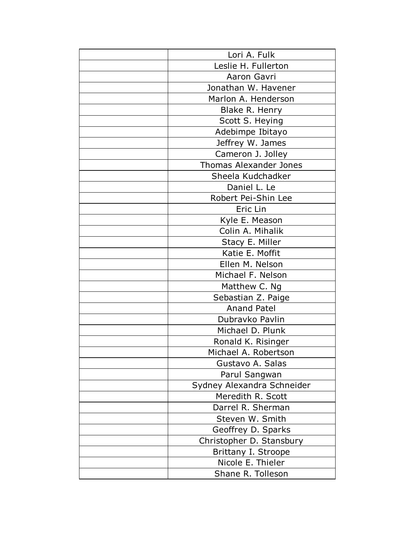| Lori A. Fulk                  |
|-------------------------------|
| Leslie H. Fullerton           |
| Aaron Gavri                   |
| Jonathan W. Havener           |
| Marlon A. Henderson           |
| Blake R. Henry                |
| Scott S. Heying               |
| Adebimpe Ibitayo              |
| Jeffrey W. James              |
| Cameron J. Jolley             |
| <b>Thomas Alexander Jones</b> |
| Sheela Kudchadker             |
| Daniel L. Le                  |
| Robert Pei-Shin Lee           |
| Eric Lin                      |
| Kyle E. Meason                |
| Colin A. Mihalik              |
| Stacy E. Miller               |
| Katie E. Moffit               |
| Ellen M. Nelson               |
| Michael F. Nelson             |
| Matthew C. Ng                 |
| Sebastian Z. Paige            |
| <b>Anand Patel</b>            |
| Dubravko Pavlin               |
| Michael D. Plunk              |
| Ronald K. Risinger            |
| Michael A. Robertson          |
| Gustavo A. Salas              |
| Parul Sangwan                 |
| Sydney Alexandra Schneider    |
| Meredith R. Scott             |
| Darrel R. Sherman             |
| Steven W. Smith               |
| Geoffrey D. Sparks            |
| Christopher D. Stansbury      |
| Brittany I. Stroope           |
| Nicole E. Thieler             |
| Shane R. Tolleson             |